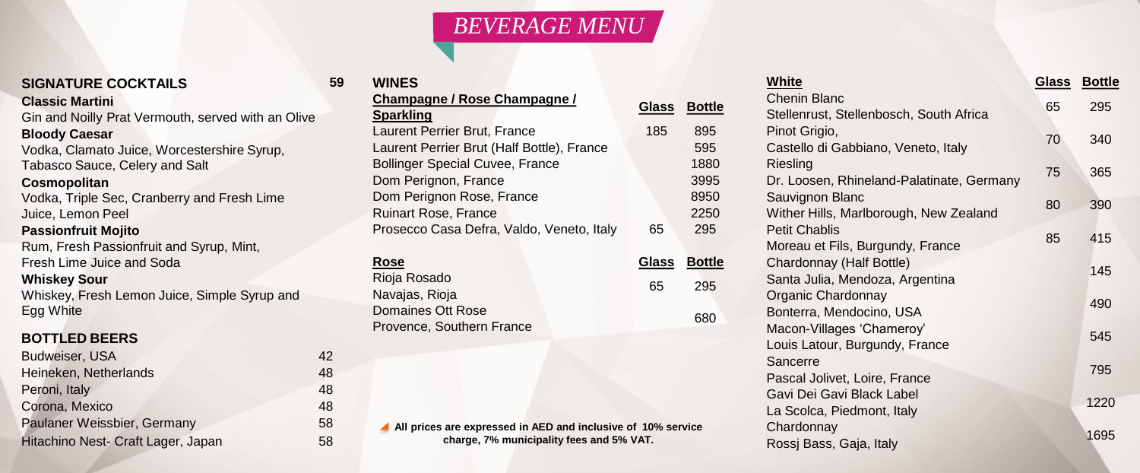# **SIGNATURE COCKTAILS 59**

## **Classic Martini**

Gin and Noilly Prat Vermouth, served with an Olive

# **Bloody Caesar**

Vodka, Clamato Juice, Worcestershire Syrup, Tabasco Sauce, Celery and Salt

## **Cosmopolitan**

Vodka, Triple Sec, Cranberry and Fresh Lime Juice, Lemon Peel

# **Passionfruit Mojito**

Rum, Fresh Passionfruit and Syrup, Mint, Fresh Lime Juice and Soda

# **Whiskey Sour**

Whiskey, Fresh Lemon Juice, Simple Syrup and Egg White

# **BOTTLED BEERS**

| Budweiser, USA                     | 42 |
|------------------------------------|----|
| Heineken, Netherlands              | 48 |
| Peroni, Italy                      | 48 |
| Corona, Mexico                     | 48 |
| Paulaner Weissbier, Germany        | 58 |
| Hitachino Nest- Craft Lager, Japan | 58 |

# *BEVERAGE MENU*

| <b>WINES</b>                               |              |               |
|--------------------------------------------|--------------|---------------|
| <b>Champagne / Rose Champagne /</b>        | <b>Glass</b> | <b>Bottle</b> |
| <b>Sparkling</b>                           |              |               |
| Laurent Perrier Brut, France               | 185          | 895           |
| Laurent Perrier Brut (Half Bottle), France |              | 595           |
| <b>Bollinger Special Cuvee, France</b>     |              | 1880          |
| Dom Perignon, France                       |              | 3995          |
| Dom Perignon Rose, France                  |              | 8950          |
| <b>Ruinart Rose, France</b>                |              | 2250          |
| Prosecco Casa Defra, Valdo, Veneto, Italy  | 65           | 295           |
|                                            |              |               |

| Rose                      |    | Glass Bottle |
|---------------------------|----|--------------|
| Rioja Rosado              | 65 | 295          |
| Navajas, Rioja            |    |              |
| Domaines Ott Rose         |    | 680          |
| Provence, Southern France |    |              |

**All prices are expressed in AED and inclusive of 10% service charge, 7% municipality fees and 5% VAT.**

# **White Glass Bottle**

| Chenin Blanc<br>Stellenrust, Stellenbosch, South Africa | 65 | 295  |
|---------------------------------------------------------|----|------|
| Pinot Grigio,                                           |    |      |
| Castello di Gabbiano, Veneto, Italy                     | 70 | 340  |
| Riesling                                                |    |      |
| Dr. Loosen, Rhineland-Palatinate, Germany               | 75 | 365  |
| Sauvignon Blanc                                         |    |      |
| Wither Hills, Marlborough, New Zealand                  | 80 | 390  |
| <b>Petit Chablis</b>                                    |    |      |
| Moreau et Fils, Burgundy, France                        | 85 | 415  |
| Chardonnay (Half Bottle)                                |    | 145  |
| Santa Julia, Mendoza, Argentina                         |    |      |
| Organic Chardonnay                                      |    | 490  |
| Bonterra, Mendocino, USA                                |    |      |
| Macon-Villages 'Chameroy'                               |    | 545  |
| Louis Latour, Burgundy, France                          |    |      |
| Sancerre                                                |    | 795  |
| Pascal Jolivet, Loire, France                           |    |      |
| Gavi Dei Gavi Black Label                               |    | 1220 |
| La Scolca, Piedmont, Italy<br>Chardonnay                |    |      |
| Rossj Bass, Gaja, Italy                                 |    | 1695 |
|                                                         |    |      |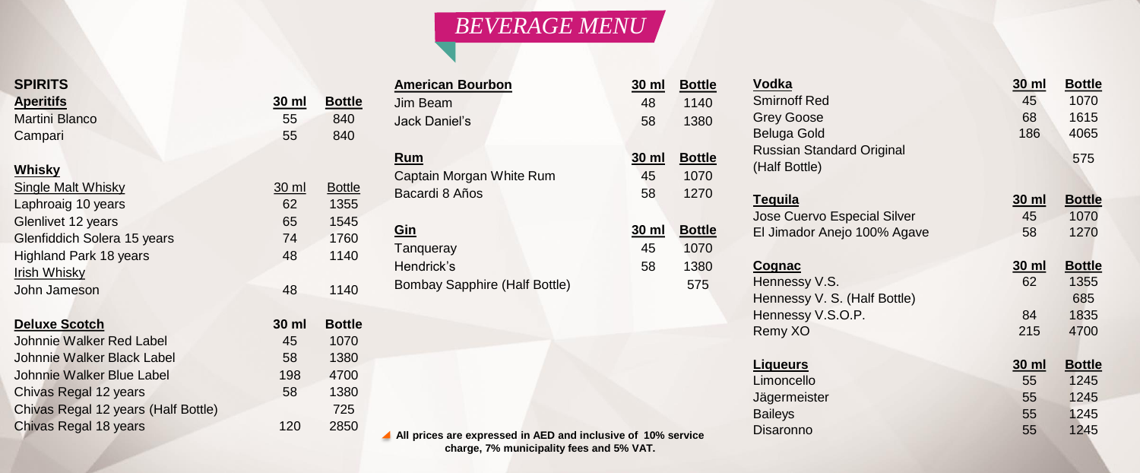# *BEVERAGE MENU*

| <b>SPIRITS</b>   |
|------------------|
| <b>Aperitifs</b> |
| Martini Bland    |
| Campari          |

# **Whisky**

Single Malt Whisky 30 ml Bottle Laphroaig 10 years 62 1355 Glenlivet 12 years 65 1545 Glenfiddich Solera 15 years 74 1760 Highland Park 18 years 48 1140 Irish Whisky John Jameson 48 1140

# **Deluxe Scotch**

Johnnie Walker Red Label Johnnie Walker Black Label Johnnie Walker Blue Label Chivas Regal 12 years Chivas Regal 12 years (Half Bottle) Chivas Regal 18 years

| SPIKITS        |       |               |  |
|----------------|-------|---------------|--|
| Aperitifs      | 30 ml | <b>Bottle</b> |  |
| Martini Blanco | -55   | 840           |  |
| Campari        | 55    | 840           |  |

| 30 ml | Bottle |
|-------|--------|
| 45    | 1070   |
| 58    | 1380   |
| 198   | 4700   |
| 58    | 1380   |
|       | 725    |
| 120   | 2850   |

# **American Bourbon 30** Jim Beam **Jack Daniel's**

**Rum 30 ml Bottle** Captain Morgan White Rum Bacardi 8 Años

**Gin 30 ml Bottle Tanqueray** Hendrick's Bombay Sapphire (Half Bottle)

# **All prices are expressed in AED and inclusive of 10% service charge, 7% municipality fees and 5% VAT.**

| ) ml | <b>Bottle</b> | <b>Vodka</b>                 |
|------|---------------|------------------------------|
| 48   | 1140          | <b>Smirnoff Red</b>          |
| 58   | 1380          | <b>Grey Goose</b>            |
|      |               | Beluga Gold                  |
| ) ml | <b>Bottle</b> | Russian Standard Original    |
| 45   | 1070          | (Half Bottle)                |
| 58   | 1270          | <b>Tequila</b>               |
|      |               | Jose Cuervo Especial Silver  |
| ) ml | <b>Bottle</b> | El Jimador Anejo 100% Agave  |
| 45   | 1070          |                              |
| 58   | 1380          | <b>Cognac</b>                |
|      | 575           | Hennessy V.S.                |
|      |               | Hennessy V. S. (Half Bottle) |
|      |               | Hennessy V.S.O.P.            |
|      |               | Remy XO                      |

# $L$ **iqueurs**

| <b>Vodka</b>                 | 30 ml | <b>Bottle</b> |
|------------------------------|-------|---------------|
| <b>Smirnoff Red</b>          | 45    | 1070          |
| <b>Grey Goose</b>            | 68    | 1615          |
| Beluga Gold                  | 186   | 4065          |
| Russian Standard Original    |       |               |
| (Half Bottle)                |       | 575           |
|                              |       |               |
| <u>Tequila</u>               | 30 ml | <b>Bottle</b> |
| Jose Cuervo Especial Silver  | 45    | 1070          |
| El Jimador Anejo 100% Agave  | 58    | 1270          |
|                              |       |               |
| <b>Cognac</b>                | 30 ml | <b>Bottle</b> |
| Hennessy V.S.                | 62    | 1355          |
| Hennessy V. S. (Half Bottle) |       | 685           |
| Hennessy V.S.O.P.            | 84    | 1835          |
| Remy XO                      | 215   | 4700          |
|                              |       |               |
| <u>Liqueurs</u>              | 30 ml | <b>Bottle</b> |
|                              |       |               |
| Limoncello                   | 55    | 1245          |
| Jägermeister                 | 55    | 1245          |
| <b>Baileys</b>               | 55    | 1245          |